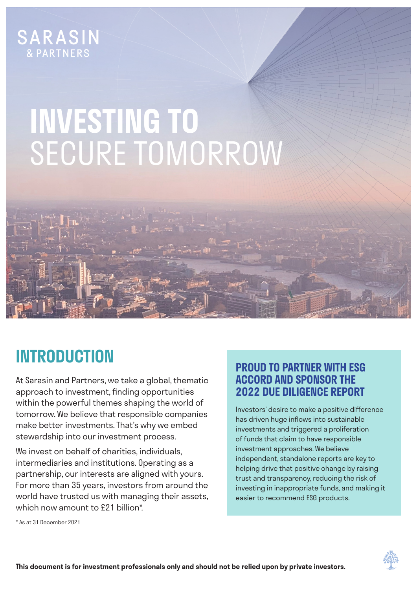## **SARASIN**

# **INVESTING TO**  SECURE TOMORROW

### **INTRODUCTION**

At Sarasin and Partners, we take a global, thematic approach to investment, finding opportunities within the powerful themes shaping the world of tomorrow. We believe that responsible companies make better investments. That's why we embed stewardship into our investment process.

We invest on behalf of charities, individuals, intermediaries and institutions. Operating as a partnership, our interests are aligned with yours. For more than 35 years, investors from around the world have trusted us with managing their assets, which now amount to £21 billion\*.

#### **PROUD TO PARTNER WITH ESG ACCORD AND SPONSOR THE 2022 DUE DILIGENCE REPORT**

Investors' desire to make a positive difference has driven huge inflows into sustainable investments and triggered a proliferation of funds that claim to have responsible investment approaches. We believe independent, standalone reports are key to helping drive that positive change by raising trust and transparency, reducing the risk of investing in inappropriate funds, and making it easier to recommend ESG products.

\* As at 31 December 2021